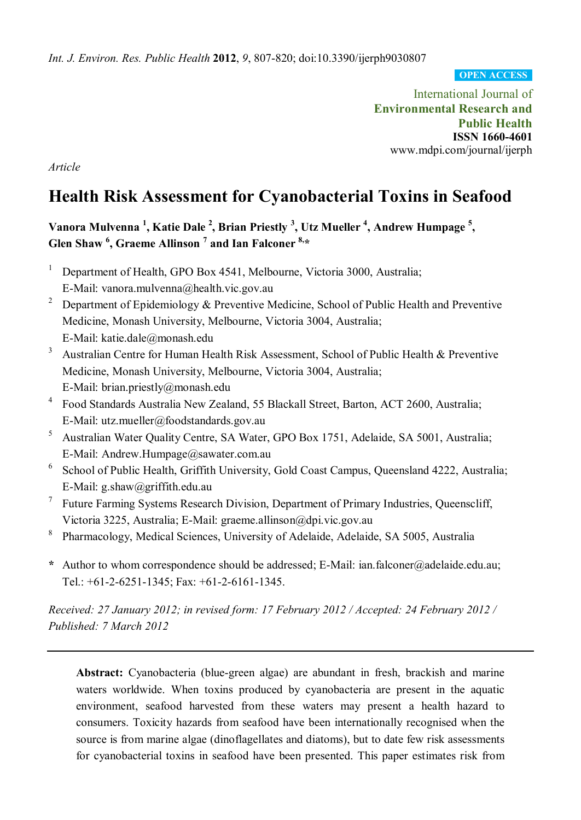**OPEN ACCESS**

International Journal of **Environmental Research and Public Health ISSN 1660-4601** www.mdpi.com/journal/ijerph

*Article*

# **Health Risk Assessment for Cyanobacterial Toxins in Seafood**

**Vanora Mulvenna <sup>1</sup> , Katie Dale <sup>2</sup> , Brian Priestly <sup>3</sup> , Utz Mueller <sup>4</sup> , Andrew Humpage <sup>5</sup> , Glen Shaw <sup>6</sup> , Graeme Allinson <sup>7</sup> and Ian Falconer 8,\***

- <sup>1</sup> Department of Health, GPO Box 4541, Melbourne, Victoria 3000, Australia; E-Mail: [vanora.mulvenna@health.vic.gov.au](mailto:vanora.mulvenna@health.vic.gov.au)
- <sup>2</sup> Department of Epidemiology & Preventive Medicine, School of Public Health and Preventive Medicine, Monash University, Melbourne, Victoria 3004, Australia; E-Mail: katie.dale@monash.edu
- <sup>3</sup> Australian Centre for Human Health Risk Assessment, School of Public Health & Preventive Medicine, Monash University, Melbourne, Victoria 3004, Australia; E-Mail: [brian.priestly@monash.edu](mailto:brian.priestly@monash.edu)
- <sup>4</sup> Food Standards Australia New Zealand, 55 Blackall Street, Barton, ACT 2600, Australia; E-Mail: utz.mueller@foodstandards.gov.au
- <sup>5</sup> Australian Water Quality Centre, SA Water, GPO Box 1751, Adelaide, SA 5001, Australia; E-Mail: [Andrew.Humpage@sawater.com.au](mailto:Andrew.Humpage@sawater.com.au)
- <sup>6</sup> School of Public Health, Griffith University, Gold Coast Campus, Queensland 4222, Australia; E-Mail: g.shaw@griffith.edu.au
- <sup>7</sup> Future Farming Systems Research Division, Department of Primary Industries, Queenscliff, Victoria 3225, Australia; E-Mail: graeme.allinson@dpi.vic.gov.au
- <sup>8</sup> Pharmacology, Medical Sciences, University of Adelaide, Adelaide, SA 5005, Australia
- **\*** Author to whom correspondence should be addressed; E-Mail: ian.falconer@adelaide.edu.au; Tel.: +61-2-6251-1345; Fax: +61-2-6161-1345.

*Received: 27 January 2012; in revised form: 17 February 2012 / Accepted: 24 February 2012 / Published: 7 March 2012*

**Abstract:** Cyanobacteria (blue-green algae) are abundant in fresh, brackish and marine waters worldwide. When toxins produced by cyanobacteria are present in the aquatic environment, seafood harvested from these waters may present a health hazard to consumers. Toxicity hazards from seafood have been internationally recognised when the source is from marine algae (dinoflagellates and diatoms), but to date few risk assessments for cyanobacterial toxins in seafood have been presented. This paper estimates risk from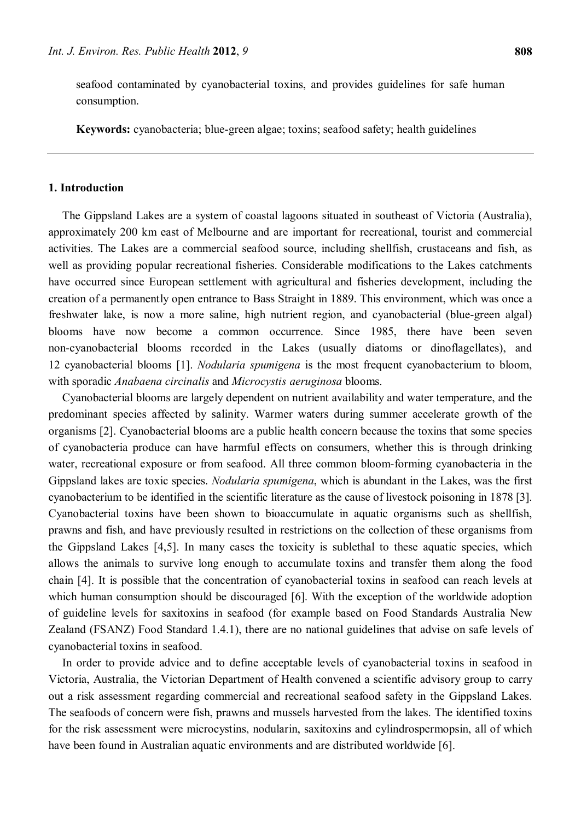seafood contaminated by cyanobacterial toxins, and provides guidelines for safe human consumption.

**Keywords:** cyanobacteria; blue-green algae; toxins; seafood safety; health guidelines

# **1. Introduction**

The Gippsland Lakes are a system of coastal lagoons situated in southeast of Victoria (Australia), approximately 200 km east of Melbourne and are important for recreational, tourist and commercial activities. The Lakes are a commercial seafood source, including shellfish, crustaceans and fish, as well as providing popular recreational fisheries. Considerable modifications to the Lakes catchments have occurred since European settlement with agricultural and fisheries development, including the creation of a permanently open entrance to Bass Straight in 1889. This environment, which was once a freshwater lake, is now a more saline, high nutrient region, and cyanobacterial (blue-green algal) blooms have now become a common occurrence. Since 1985, there have been seven non-cyanobacterial blooms recorded in the Lakes (usually diatoms or dinoflagellates), and 12 cyanobacterial blooms [1]. *Nodularia spumigena* is the most frequent cyanobacterium to bloom, with sporadic *Anabaena circinalis* and *Microcystis aeruginosa* blooms.

Cyanobacterial blooms are largely dependent on nutrient availability and water temperature, and the predominant species affected by salinity. Warmer waters during summer accelerate growth of the organisms [2]. Cyanobacterial blooms are a public health concern because the toxins that some species of cyanobacteria produce can have harmful effects on consumers, whether this is through drinking water, recreational exposure or from seafood. All three common bloom-forming cyanobacteria in the Gippsland lakes are toxic species. *Nodularia spumigena*, which is abundant in the Lakes, was the first cyanobacterium to be identified in the scientific literature as the cause of livestock poisoning in 1878 [3]. Cyanobacterial toxins have been shown to bioaccumulate in aquatic organisms such as shellfish, prawns and fish, and have previously resulted in restrictions on the collection of these organisms from the Gippsland Lakes [4,5]. In many cases the toxicity is sublethal to these aquatic species, which allows the animals to survive long enough to accumulate toxins and transfer them along the food chain [4]. It is possible that the concentration of cyanobacterial toxins in seafood can reach levels at which human consumption should be discouraged [6]. With the exception of the worldwide adoption of guideline levels for saxitoxins in seafood (for example based on Food Standards Australia New Zealand (FSANZ) Food Standard 1.4.1), there are no national guidelines that advise on safe levels of cyanobacterial toxins in seafood.

In order to provide advice and to define acceptable levels of cyanobacterial toxins in seafood in Victoria, Australia, the Victorian Department of Health convened a scientific advisory group to carry out a risk assessment regarding commercial and recreational seafood safety in the Gippsland Lakes. The seafoods of concern were fish, prawns and mussels harvested from the lakes. The identified toxins for the risk assessment were microcystins, nodularin, saxitoxins and cylindrospermopsin, all of which have been found in Australian aquatic environments and are distributed worldwide [6].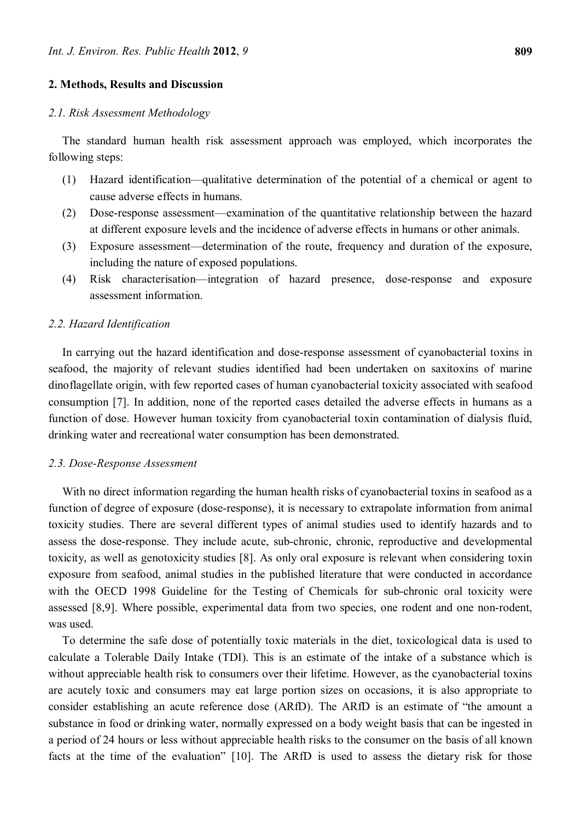#### **2. Methods, Results and Discussion**

#### *2.1. Risk Assessment Methodology*

The standard human health risk assessment approach was employed, which incorporates the following steps:

- (1) Hazard identification—qualitative determination of the potential of a chemical or agent to cause adverse effects in humans.
- (2) Dose-response assessment—examination of the quantitative relationship between the hazard at different exposure levels and the incidence of adverse effects in humans or other animals.
- (3) Exposure assessment—determination of the route, frequency and duration of the exposure, including the nature of exposed populations.
- (4) Risk characterisation—integration of hazard presence, dose-response and exposure assessment information.

#### *2.2. Hazard Identification*

In carrying out the hazard identification and dose-response assessment of cyanobacterial toxins in seafood, the majority of relevant studies identified had been undertaken on saxitoxins of marine dinoflagellate origin, with few reported cases of human cyanobacterial toxicity associated with seafood consumption [7]. In addition, none of the reported cases detailed the adverse effects in humans as a function of dose. However human toxicity from cyanobacterial toxin contamination of dialysis fluid, drinking water and recreational water consumption has been demonstrated.

#### *2.3. Dose-Response Assessment*

With no direct information regarding the human health risks of cyanobacterial toxins in seafood as a function of degree of exposure (dose-response), it is necessary to extrapolate information from animal toxicity studies. There are several different types of animal studies used to identify hazards and to assess the dose-response. They include acute, sub-chronic, chronic, reproductive and developmental toxicity, as well as genotoxicity studies [8]. As only oral exposure is relevant when considering toxin exposure from seafood, animal studies in the published literature that were conducted in accordance with the OECD 1998 Guideline for the Testing of Chemicals for sub-chronic oral toxicity were assessed [8,9]. Where possible, experimental data from two species, one rodent and one non-rodent, was used.

To determine the safe dose of potentially toxic materials in the diet, toxicological data is used to calculate a Tolerable Daily Intake (TDI). This is an estimate of the intake of a substance which is without appreciable health risk to consumers over their lifetime. However, as the cyanobacterial toxins are acutely toxic and consumers may eat large portion sizes on occasions, it is also appropriate to consider establishing an acute reference dose (ARfD). The ARfD is an estimate of "the amount a substance in food or drinking water, normally expressed on a body weight basis that can be ingested in a period of 24 hours or less without appreciable health risks to the consumer on the basis of all known facts at the time of the evaluation" [10]. The ARfD is used to assess the dietary risk for those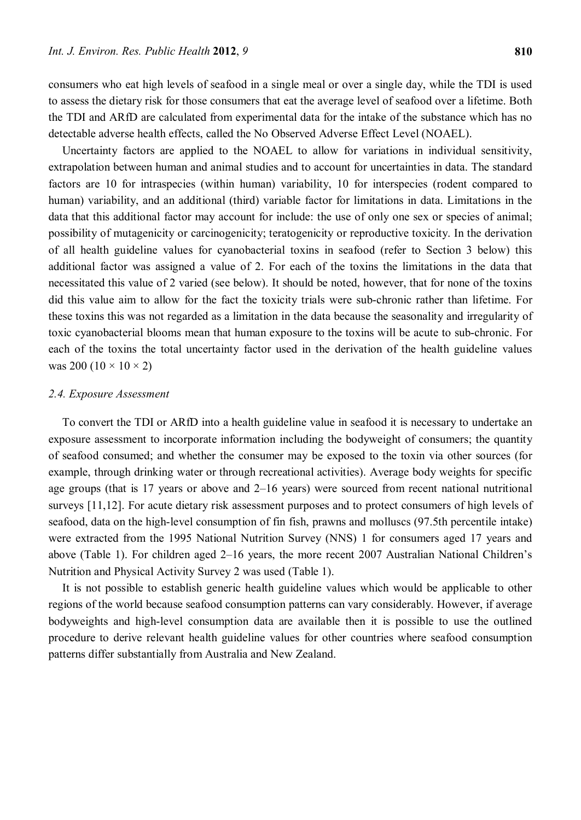consumers who eat high levels of seafood in a single meal or over a single day, while the TDI is used to assess the dietary risk for those consumers that eat the average level of seafood over a lifetime. Both the TDI and ARfD are calculated from experimental data for the intake of the substance which has no detectable adverse health effects, called the No Observed Adverse Effect Level (NOAEL).

Uncertainty factors are applied to the NOAEL to allow for variations in individual sensitivity, extrapolation between human and animal studies and to account for uncertainties in data. The standard factors are 10 for intraspecies (within human) variability, 10 for interspecies (rodent compared to human) variability, and an additional (third) variable factor for limitations in data. Limitations in the data that this additional factor may account for include: the use of only one sex or species of animal; possibility of mutagenicity or carcinogenicity; teratogenicity or reproductive toxicity. In the derivation of all health guideline values for cyanobacterial toxins in seafood (refer to Section 3 below) this additional factor was assigned a value of 2. For each of the toxins the limitations in the data that necessitated this value of 2 varied (see below). It should be noted, however, that for none of the toxins did this value aim to allow for the fact the toxicity trials were sub-chronic rather than lifetime. For these toxins this was not regarded as a limitation in the data because the seasonality and irregularity of toxic cyanobacterial blooms mean that human exposure to the toxins will be acute to sub-chronic. For each of the toxins the total uncertainty factor used in the derivation of the health guideline values was 200 (10  $\times$  10  $\times$  2)

## *2.4. Exposure Assessment*

To convert the TDI or ARfD into a health guideline value in seafood it is necessary to undertake an exposure assessment to incorporate information including the bodyweight of consumers; the quantity of seafood consumed; and whether the consumer may be exposed to the toxin via other sources (for example, through drinking water or through recreational activities). Average body weights for specific age groups (that is 17 years or above and 2–16 years) were sourced from recent national nutritional surveys [11,12]. For acute dietary risk assessment purposes and to protect consumers of high levels of seafood, data on the high-level consumption of fin fish, prawns and molluscs (97.5th percentile intake) were extracted from the 1995 National Nutrition Survey (NNS) 1 for consumers aged 17 years and above (Table 1). For children aged 2–16 years, the more recent 2007 Australian National Children's Nutrition and Physical Activity Survey 2 was used (Table 1).

It is not possible to establish generic health guideline values which would be applicable to other regions of the world because seafood consumption patterns can vary considerably. However, if average bodyweights and high-level consumption data are available then it is possible to use the outlined procedure to derive relevant health guideline values for other countries where seafood consumption patterns differ substantially from Australia and New Zealand.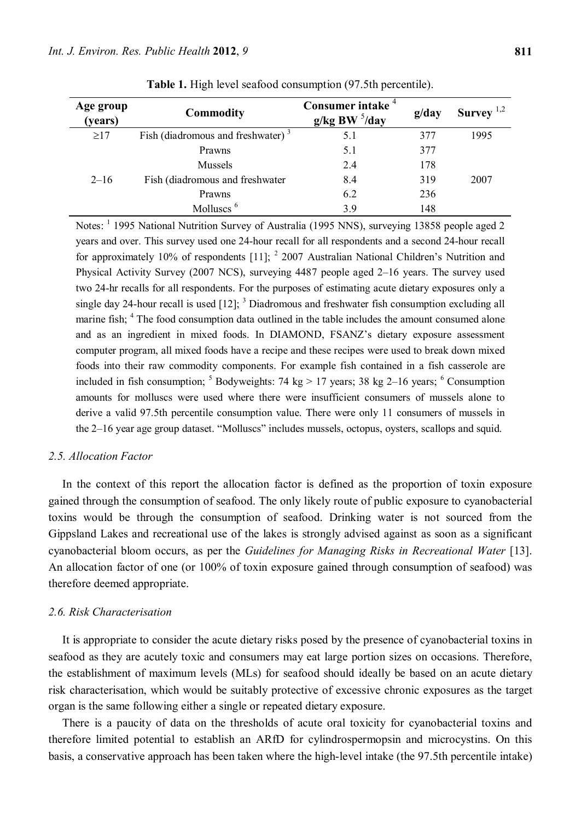| Age group<br>(years) | <b>Commodity</b>                     | Consumer intake <sup>4</sup><br>$g/kg$ BW $5/day$ | g/day | Survey $^{1,2}$ |
|----------------------|--------------------------------------|---------------------------------------------------|-------|-----------------|
| $\geq$ 17            | Fish (diadromous and freshwater) $3$ | 5.1                                               | 377   | 1995            |
|                      | Prawns                               | 5.1                                               | 377   |                 |
|                      | Mussels                              | 2.4                                               | 178   |                 |
| $2 - 16$             | Fish (diadromous and freshwater)     | 8.4                                               | 319   | 2007            |
|                      | Prawns                               | 6.2                                               | 236   |                 |
|                      | Molluscs <sup>6</sup>                | 39                                                | 148   |                 |

**Table 1.** High level seafood consumption (97.5th percentile).

Notes: <sup>1</sup> 1995 National Nutrition Survey of Australia (1995 NNS), surveying 13858 people aged 2 years and over. This survey used one 24-hour recall for all respondents and a second 24-hour recall for approximately 10% of respondents  $[11]$ ; <sup>2</sup> 2007 Australian National Children's Nutrition and Physical Activity Survey (2007 NCS), surveying 4487 people aged 2–16 years. The survey used two 24-hr recalls for all respondents. For the purposes of estimating acute dietary exposures only a single day 24-hour recall is used  $[12]$ ; <sup>3</sup> Diadromous and freshwater fish consumption excluding all marine fish; <sup>4</sup> The food consumption data outlined in the table includes the amount consumed alone and as an ingredient in mixed foods. In DIAMOND, FSANZ's dietary exposure assessment computer program, all mixed foods have a recipe and these recipes were used to break down mixed foods into their raw commodity components. For example fish contained in a fish casserole are included in fish consumption;  $5$  Bodyweights: 74 kg  $> 17$  years; 38 kg 2–16 years;  $6$  Consumption amounts for molluscs were used where there were insufficient consumers of mussels alone to derive a valid 97.5th percentile consumption value. There were only 11 consumers of mussels in the 2–16 year age group dataset. "Molluscs" includes mussels, octopus, oysters, scallops and squid.

#### *2.5. Allocation Factor*

In the context of this report the allocation factor is defined as the proportion of toxin exposure gained through the consumption of seafood. The only likely route of public exposure to cyanobacterial toxins would be through the consumption of seafood. Drinking water is not sourced from the Gippsland Lakes and recreational use of the lakes is strongly advised against as soon as a significant cyanobacterial bloom occurs, as per the *Guidelines for Managing Risks in Recreational Water* [13]. An allocation factor of one (or 100% of toxin exposure gained through consumption of seafood) was therefore deemed appropriate.

## *2.6. Risk Characterisation*

It is appropriate to consider the acute dietary risks posed by the presence of cyanobacterial toxins in seafood as they are acutely toxic and consumers may eat large portion sizes on occasions. Therefore, the establishment of maximum levels (MLs) for seafood should ideally be based on an acute dietary risk characterisation, which would be suitably protective of excessive chronic exposures as the target organ is the same following either a single or repeated dietary exposure.

There is a paucity of data on the thresholds of acute oral toxicity for cyanobacterial toxins and therefore limited potential to establish an ARfD for cylindrospermopsin and microcystins. On this basis, a conservative approach has been taken where the high-level intake (the 97.5th percentile intake)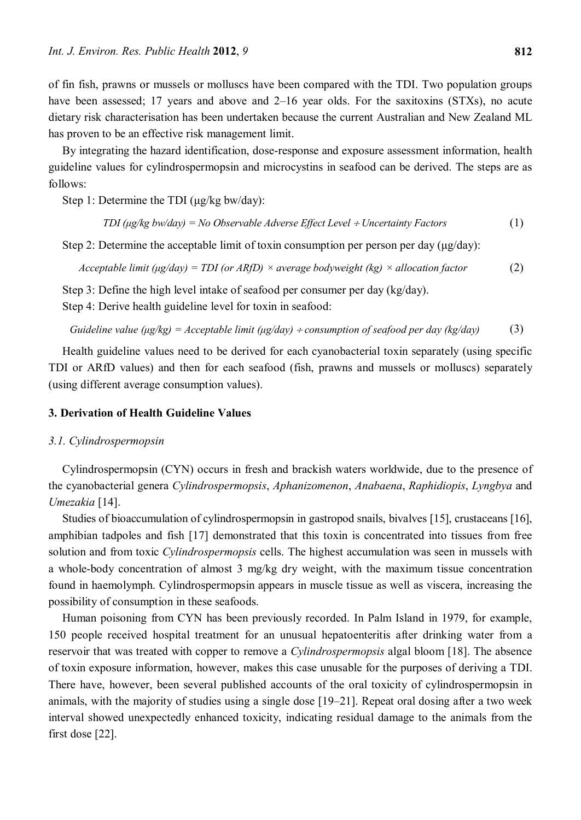of fin fish, prawns or mussels or molluscs have been compared with the TDI. Two population groups have been assessed; 17 years and above and 2–16 year olds. For the saxitoxins (STXs), no acute dietary risk characterisation has been undertaken because the current Australian and New Zealand ML has proven to be an effective risk management limit.

By integrating the hazard identification, dose-response and exposure assessment information, health guideline values for cylindrospermopsin and microcystins in seafood can be derived. The steps are as follows:

Step 1: Determine the TDI (μg/kg bw/day):

*TDI* (μg/kg bw/day) = No Observable Adverse Effect Level ÷ Uncertainty Factors (1)

Step 2: Determine the acceptable limit of toxin consumption per person per day  $(\mu g / d \alpha y)$ :

*Acceptable limit (μg/day) = TDI (or ARfD) × average bodyweight (kg) × allocation factor* (2)

Step 3: Define the high level intake of seafood per consumer per day (kg/day).

Step 4: Derive health guideline level for toxin in seafood:

*Guideline value (μg/kg) = Acceptable limit (μg/day)* <sup>÷</sup> *consumption of seafood per day (kg/day)* (3)

Health guideline values need to be derived for each cyanobacterial toxin separately (using specific TDI or ARfD values) and then for each seafood (fish, prawns and mussels or molluscs) separately (using different average consumption values).

## **3. Derivation of Health Guideline Values**

## *3.1. Cylindrospermopsin*

Cylindrospermopsin (CYN) occurs in fresh and brackish waters worldwide, due to the presence of the cyanobacterial genera *Cylindrospermopsis*, *Aphanizomenon*, *Anabaena*, *Raphidiopis*, *Lyngbya* and *Umezakia* [14].

Studies of bioaccumulation of cylindrospermopsin in gastropod snails, bivalves [15], crustaceans [16], amphibian tadpoles and fish [17] demonstrated that this toxin is concentrated into tissues from free solution and from toxic *Cylindrospermopsis* cells. The highest accumulation was seen in mussels with a whole-body concentration of almost 3 mg/kg dry weight, with the maximum tissue concentration found in haemolymph. Cylindrospermopsin appears in muscle tissue as well as viscera, increasing the possibility of consumption in these seafoods.

Human poisoning from CYN has been previously recorded. In Palm Island in 1979, for example, 150 people received hospital treatment for an unusual hepatoenteritis after drinking water from a reservoir that was treated with copper to remove a *Cylindrospermopsis* algal bloom [18]. The absence of toxin exposure information, however, makes this case unusable for the purposes of deriving a TDI. There have, however, been several published accounts of the oral toxicity of cylindrospermopsin in animals, with the majority of studies using a single dose [19–21]. Repeat oral dosing after a two week interval showed unexpectedly enhanced toxicity, indicating residual damage to the animals from the first dose [22].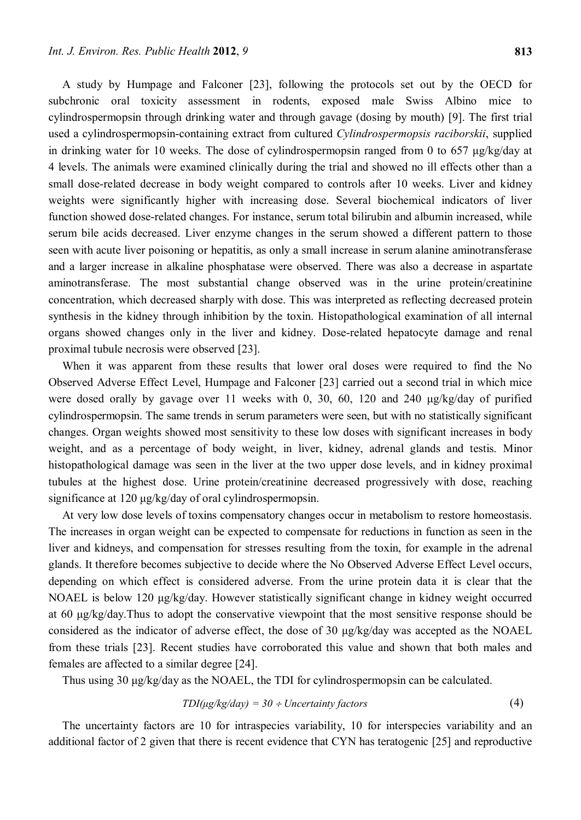A study by Humpage and Falconer [23], following the protocols set out by the OECD for subchronic oral toxicity assessment in rodents, exposed male Swiss Albino mice to cylindrospermopsin through drinking water and through gavage (dosing by mouth) [9]. The first trial used a cylindrospermopsin-containing extract from cultured *Cylindrospermopsis raciborskii*, supplied in drinking water for 10 weeks. The dose of cylindrospermopsin ranged from 0 to 657 μg/kg/day at 4 levels. The animals were examined clinically during the trial and showed no ill effects other than a small dose-related decrease in body weight compared to controls after 10 weeks. Liver and kidney weights were significantly higher with increasing dose. Several biochemical indicators of liver function showed dose-related changes. For instance, serum total bilirubin and albumin increased, while serum bile acids decreased. Liver enzyme changes in the serum showed a different pattern to those seen with acute liver poisoning or hepatitis, as only a small increase in serum alanine aminotransferase and a larger increase in alkaline phosphatase were observed. There was also a decrease in aspartate aminotransferase. The most substantial change observed was in the urine protein/creatinine concentration, which decreased sharply with dose. This was interpreted as reflecting decreased protein synthesis in the kidney through inhibition by the toxin. Histopathological examination of all internal organs showed changes only in the liver and kidney. Dose-related hepatocyte damage and renal proximal tubule necrosis were observed [23].

When it was apparent from these results that lower oral doses were required to find the No Observed Adverse Effect Level, Humpage and Falconer [23] carried out a second trial in which mice were dosed orally by gavage over 11 weeks with 0, 30, 60, 120 and 240 μg/kg/day of purified cylindrospermopsin. The same trends in serum parameters were seen, but with no statistically significant changes. Organ weights showed most sensitivity to these low doses with significant increases in body weight, and as a percentage of body weight, in liver, kidney, adrenal glands and testis. Minor histopathological damage was seen in the liver at the two upper dose levels, and in kidney proximal tubules at the highest dose. Urine protein/creatinine decreased progressively with dose, reaching significance at 120 μg/kg/day of oral cylindrospermopsin.

At very low dose levels of toxins compensatory changes occur in metabolism to restore homeostasis. The increases in organ weight can be expected to compensate for reductions in function as seen in the liver and kidneys, and compensation for stresses resulting from the toxin, for example in the adrenal glands. It therefore becomes subjective to decide where the No Observed Adverse Effect Level occurs, depending on which effect is considered adverse. From the urine protein data it is clear that the NOAEL is below 120 μg/kg/day. However statistically significant change in kidney weight occurred at 60 μg/kg/day.Thus to adopt the conservative viewpoint that the most sensitive response should be considered as the indicator of adverse effect, the dose of 30 μg/kg/day was accepted as the NOAEL from these trials [23]. Recent studies have corroborated this value and shown that both males and females are affected to a similar degree [24].

Thus using 30 μg/kg/day as the NOAEL, the TDI for cylindrospermopsin can be calculated.

$$
TDI(\mu g/kg/day) = 30 \div Uncertainty factors \tag{4}
$$

The uncertainty factors are 10 for intraspecies variability, 10 for interspecies variability and an additional factor of 2 given that there is recent evidence that CYN has teratogenic [25] and reproductive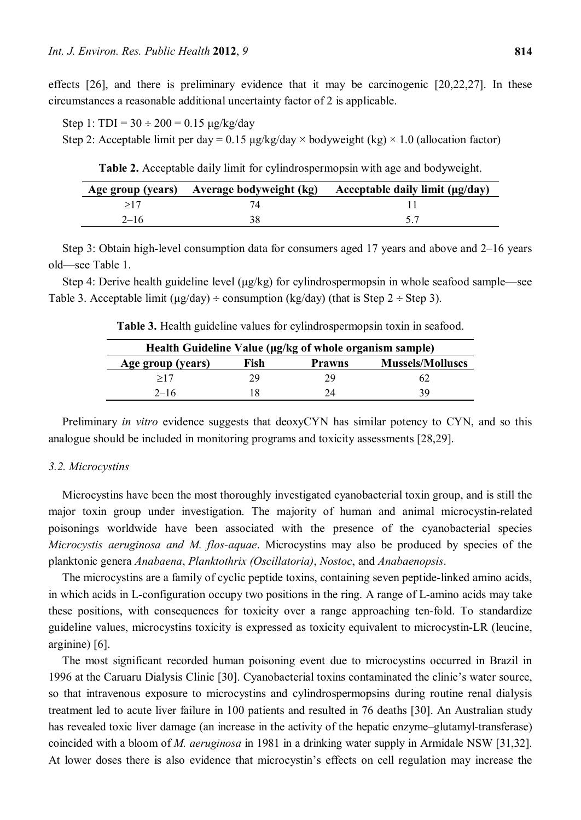effects [26], and there is preliminary evidence that it may be carcinogenic [20,22,27]. In these circumstances a reasonable additional uncertainty factor of 2 is applicable.

Step 1: TDI =  $30 \div 200 = 0.15 \text{ µg/kg/day}$ 

Step 2: Acceptable limit per day =  $0.15 \mu g/kg/day \times bodyweight (kg) \times 1.0$  (allocation factor)

**Table 2.** Acceptable daily limit for cylindrospermopsin with age and bodyweight.

|          | Age group (years) Average bodyweight (kg) | Acceptable daily limit $(\mu g / day)$ |
|----------|-------------------------------------------|----------------------------------------|
|          |                                           |                                        |
| $2 - 16$ |                                           |                                        |

Step 3: Obtain high-level consumption data for consumers aged 17 years and above and 2–16 years old—see Table 1.

Step 4: Derive health guideline level (μg/kg) for cylindrospermopsin in whole seafood sample—see Table 3. Acceptable limit (μg/day) ÷ consumption (kg/day) (that is Step 2 ÷ Step 3).

**Table 3.** Health guideline values for cylindrospermopsin toxin in seafood.

| Health Guideline Value (µg/kg of whole organism sample) |      |               |                         |  |
|---------------------------------------------------------|------|---------------|-------------------------|--|
| Age group (years)                                       | Fish | <b>Prawns</b> | <b>Mussels/Molluscs</b> |  |
| >17                                                     | 29   | 79            |                         |  |
| $2 - 16$                                                |      |               | 39                      |  |

Preliminary *in vitro* evidence suggests that deoxyCYN has similar potency to CYN, and so this analogue should be included in monitoring programs and toxicity assessments [28,29].

#### *3.2. Microcystins*

Microcystins have been the most thoroughly investigated cyanobacterial toxin group, and is still the major toxin group under investigation. The majority of human and animal microcystin-related poisonings worldwide have been associated with the presence of the cyanobacterial species *Microcystis aeruginosa and M. flos-aquae*. Microcystins may also be produced by species of the planktonic genera *Anabaena*, *Planktothrix (Oscillatoria)*, *Nostoc*, and *Anabaenopsis*.

The microcystins are a family of cyclic peptide toxins, containing seven peptide-linked amino acids, in which acids in L-configuration occupy two positions in the ring. A range of L-amino acids may take these positions, with consequences for toxicity over a range approaching ten-fold. To standardize guideline values, microcystins toxicity is expressed as toxicity equivalent to microcystin-LR (leucine, arginine) [6].

The most significant recorded human poisoning event due to microcystins occurred in Brazil in 1996 at the Caruaru Dialysis Clinic [30]. Cyanobacterial toxins contaminated the clinic's water source, so that intravenous exposure to microcystins and cylindrospermopsins during routine renal dialysis treatment led to acute liver failure in 100 patients and resulted in 76 deaths [30]. An Australian study has revealed toxic liver damage (an increase in the activity of the hepatic enzyme–glutamyl-transferase) coincided with a bloom of *M. aeruginosa* in 1981 in a drinking water supply in Armidale NSW [31,32]. At lower doses there is also evidence that microcystin's effects on cell regulation may increase the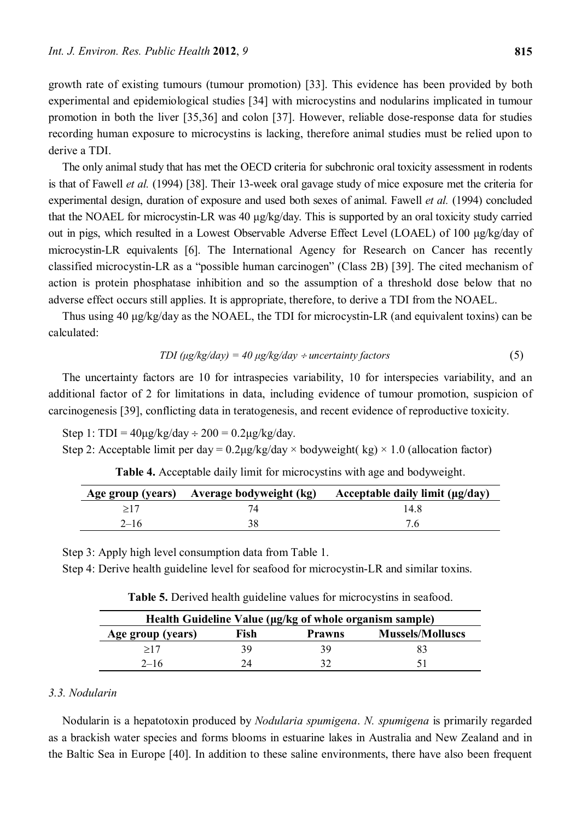growth rate of existing tumours (tumour promotion) [33]. This evidence has been provided by both experimental and epidemiological studies [34] with microcystins and nodularins implicated in tumour promotion in both the liver [35,36] and colon [37]. However, reliable dose-response data for studies recording human exposure to microcystins is lacking, therefore animal studies must be relied upon to derive a TDI.

The only animal study that has met the OECD criteria for subchronic oral toxicity assessment in rodents is that of Fawell *et al.* (1994) [38]. Their 13-week oral gavage study of mice exposure met the criteria for experimental design, duration of exposure and used both sexes of animal. Fawell *et al.* (1994) concluded that the NOAEL for microcystin-LR was 40 μg/kg/day. This is supported by an oral toxicity study carried out in pigs, which resulted in a Lowest Observable Adverse Effect Level (LOAEL) of 100 μg/kg/day of microcystin-LR equivalents [6]. The International Agency for Research on Cancer has recently classified microcystin-LR as a "possible human carcinogen" (Class 2B) [39]. The cited mechanism of action is protein phosphatase inhibition and so the assumption of a threshold dose below that no adverse effect occurs still applies. It is appropriate, therefore, to derive a TDI from the NOAEL.

Thus using 40 μg/kg/day as the NOAEL, the TDI for microcystin-LR (and equivalent toxins) can be calculated:

$$
TDI \, (\mu g/kg/day) = 40 \, \mu g/kg/day \div uncertainty factors \tag{5}
$$

The uncertainty factors are 10 for intraspecies variability, 10 for interspecies variability, and an additional factor of 2 for limitations in data, including evidence of tumour promotion, suspicion of carcinogenesis [39], conflicting data in teratogenesis, and recent evidence of reproductive toxicity.

Step 1: TDI =  $40\mu$ g/kg/day ÷ 200 = 0.2 $\mu$ g/kg/day.

Step 2: Acceptable limit per day =  $0.2\mu$ g/kg/day × bodyweight( kg) × 1.0 (allocation factor)

|          | Age group (years) Average bodyweight (kg) | Acceptable daily limit (μg/day) |
|----------|-------------------------------------------|---------------------------------|
|          |                                           | 14 8                            |
| $2 - 16$ |                                           | 76.                             |

**Table 4.** Acceptable daily limit for microcystins with age and bodyweight.

Step 3: Apply high level consumption data from Table 1.

Step 4: Derive health guideline level for seafood for microcystin-LR and similar toxins.

| <b>Table 5.</b> Derived health guideline values for microcystins in seafood. |  |  |
|------------------------------------------------------------------------------|--|--|
|                                                                              |  |  |

| Health Guideline Value (µg/kg of whole organism sample) |      |               |                         |  |
|---------------------------------------------------------|------|---------------|-------------------------|--|
| Age group (years)                                       | Fish | <b>Prawns</b> | <b>Mussels/Molluscs</b> |  |
| >17                                                     | 39   | 39            |                         |  |
| $2 - 16$                                                |      |               |                         |  |

#### *3.3. Nodularin*

Nodularin is a hepatotoxin produced by *Nodularia spumigena*. *N. spumigena* is primarily regarded as a brackish water species and forms blooms in estuarine lakes in Australia and New Zealand and in the Baltic Sea in Europe [40]. In addition to these saline environments, there have also been frequent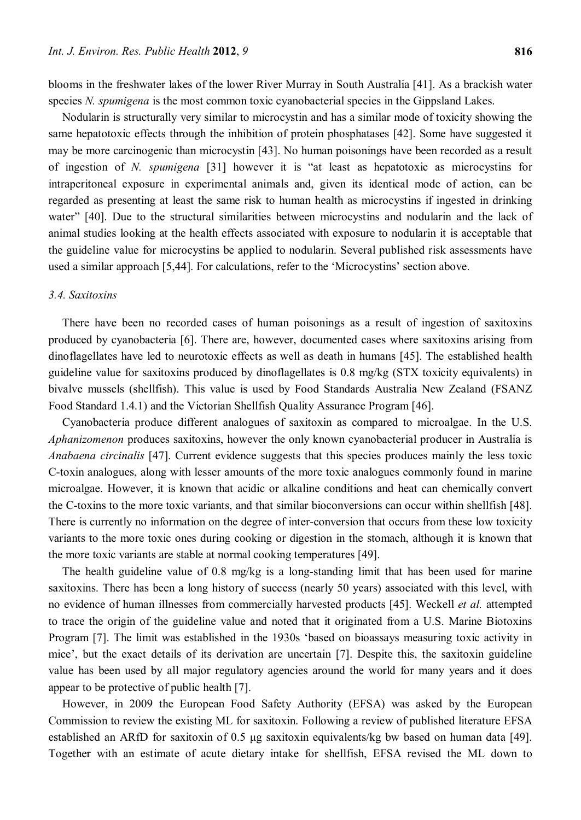blooms in the freshwater lakes of the lower River Murray in South Australia [41]. As a brackish water species *N. spumigena* is the most common toxic cyanobacterial species in the Gippsland Lakes.

Nodularin is structurally very similar to microcystin and has a similar mode of toxicity showing the same hepatotoxic effects through the inhibition of protein phosphatases [42]. Some have suggested it may be more carcinogenic than microcystin [43]. No human poisonings have been recorded as a result of ingestion of *N. spumigena* [31] however it is "at least as hepatotoxic as microcystins for intraperitoneal exposure in experimental animals and, given its identical mode of action, can be regarded as presenting at least the same risk to human health as microcystins if ingested in drinking water" [40]. Due to the structural similarities between microcystins and nodularin and the lack of animal studies looking at the health effects associated with exposure to nodularin it is acceptable that the guideline value for microcystins be applied to nodularin. Several published risk assessments have used a similar approach [5,44]. For calculations, refer to the 'Microcystins' section above.

# *3.4. Saxitoxins*

There have been no recorded cases of human poisonings as a result of ingestion of saxitoxins produced by cyanobacteria [6]. There are, however, documented cases where saxitoxins arising from dinoflagellates have led to neurotoxic effects as well as death in humans [45]. The established health guideline value for saxitoxins produced by dinoflagellates is 0.8 mg/kg (STX toxicity equivalents) in bivalve mussels (shellfish). This value is used by Food Standards Australia New Zealand (FSANZ Food Standard 1.4.1) and the Victorian Shellfish Quality Assurance Program [46].

Cyanobacteria produce different analogues of saxitoxin as compared to microalgae. In the U.S. *Aphanizomenon* produces saxitoxins, however the only known cyanobacterial producer in Australia is *Anabaena circinalis* [47]. Current evidence suggests that this species produces mainly the less toxic C-toxin analogues, along with lesser amounts of the more toxic analogues commonly found in marine microalgae. However, it is known that acidic or alkaline conditions and heat can chemically convert the C-toxins to the more toxic variants, and that similar bioconversions can occur within shellfish [48]. There is currently no information on the degree of inter-conversion that occurs from these low toxicity variants to the more toxic ones during cooking or digestion in the stomach, although it is known that the more toxic variants are stable at normal cooking temperatures [49].

The health guideline value of 0.8 mg/kg is a long-standing limit that has been used for marine saxitoxins. There has been a long history of success (nearly 50 years) associated with this level, with no evidence of human illnesses from commercially harvested products [45]. Weckell *et al.* attempted to trace the origin of the guideline value and noted that it originated from a U.S. Marine Biotoxins Program [7]. The limit was established in the 1930s 'based on bioassays measuring toxic activity in mice', but the exact details of its derivation are uncertain [7]. Despite this, the saxitoxin guideline value has been used by all major regulatory agencies around the world for many years and it does appear to be protective of public health [7].

However, in 2009 the European Food Safety Authority (EFSA) was asked by the European Commission to review the existing ML for saxitoxin. Following a review of published literature EFSA established an ARfD for saxitoxin of 0.5 μg saxitoxin equivalents/kg bw based on human data [49]. Together with an estimate of acute dietary intake for shellfish, EFSA revised the ML down to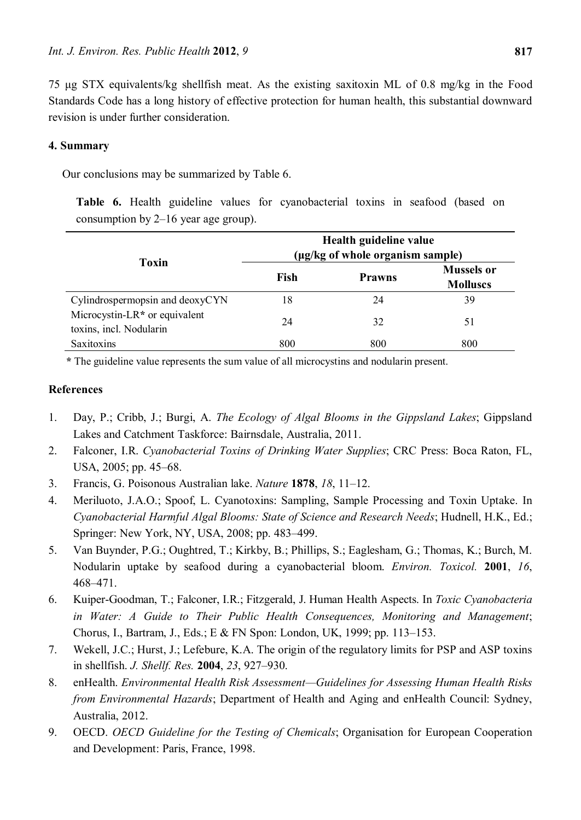75 μg STX equivalents/kg shellfish meat. As the existing saxitoxin ML of 0.8 mg/kg in the Food Standards Code has a long history of effective protection for human health, this substantial downward revision is under further consideration.

# **4. Summary**

Our conclusions may be summarized by Table 6.

**Table 6.** Health guideline values for cyanobacterial toxins in seafood (based on consumption by 2–16 year age group).

|                                                             | Health guideline value<br>(µg/kg of whole organism sample) |               |                                      |  |
|-------------------------------------------------------------|------------------------------------------------------------|---------------|--------------------------------------|--|
| <b>Toxin</b>                                                | Fish                                                       | <b>Prawns</b> | <b>Mussels or</b><br><b>Molluscs</b> |  |
| Cylindrospermopsin and deoxyCYN                             | 18                                                         | 24            | 39                                   |  |
| Microcystin-LR $*$ or equivalent<br>toxins, incl. Nodularin | 24                                                         | 32            | 51                                   |  |
| <b>Saxitoxins</b>                                           | 800                                                        | 800           | 800                                  |  |

**\*** The guideline value represents the sum value of all microcystins and nodularin present.

## **References**

- 1. Day, P.; Cribb, J.; Burgi, A. *The Ecology of Algal Blooms in the Gippsland Lakes*; Gippsland Lakes and Catchment Taskforce: Bairnsdale, Australia, 2011.
- 2. Falconer, I.R. *Cyanobacterial Toxins of Drinking Water Supplies*; CRC Press: Boca Raton, FL, USA, 2005; pp. 45–68.
- 3. Francis, G. Poisonous Australian lake. *Nature* **1878**, *18*, 11–12.
- 4. Meriluoto, J.A.O.; Spoof, L. Cyanotoxins: Sampling, Sample Processing and Toxin Uptake. In *Cyanobacterial Harmful Algal Blooms: State of Science and Research Needs*; Hudnell, H.K., Ed.; Springer: New York, NY, USA, 2008; pp. 483–499.
- 5. Van Buynder, P.G.; Oughtred, T.; Kirkby, B.; Phillips, S.; Eaglesham, G.; Thomas, K.; Burch, M. Nodularin uptake by seafood during a cyanobacterial bloom. *Environ. Toxicol.* **2001**, *16*, 468–471.
- 6. Kuiper-Goodman, T.; Falconer, I.R.; Fitzgerald, J. Human Health Aspects. In *Toxic Cyanobacteria in Water: A Guide to Their Public Health Consequences, Monitoring and Management*; Chorus, I., Bartram, J., Eds.; E & FN Spon: London, UK, 1999; pp. 113–153.
- 7. Wekell, J.C.; Hurst, J.; Lefebure, K.A. The origin of the regulatory limits for PSP and ASP toxins in shellfish. *J. Shellf. Res.* **2004**, *23*, 927–930.
- 8. enHealth. *Environmental Health Risk Assessment—Guidelines for Assessing Human Health Risks from Environmental Hazards*; Department of Health and Aging and enHealth Council: Sydney, Australia, 2012.
- 9. OECD. *OECD Guideline for the Testing of Chemicals*; Organisation for European Cooperation and Development: Paris, France, 1998.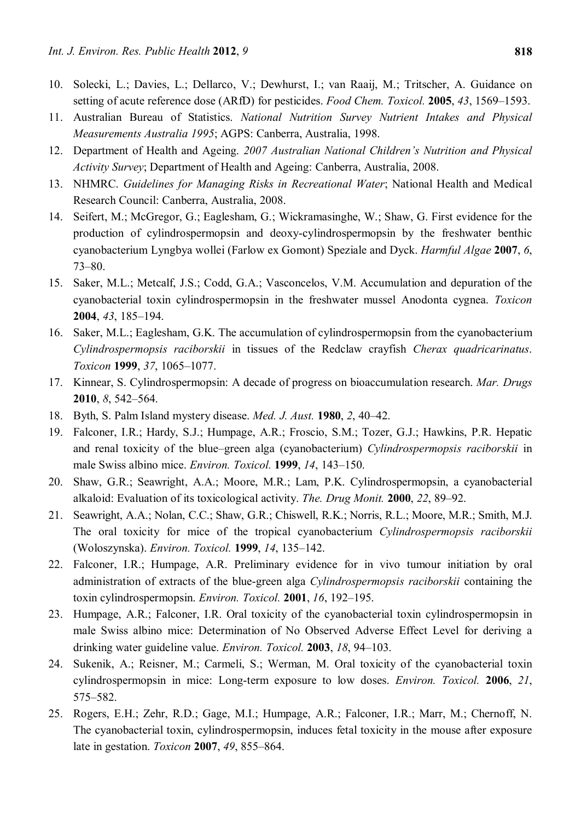- 10. Solecki, L.; Davies, L.; Dellarco, V.; Dewhurst, I.; van Raaij, M.; Tritscher, A. Guidance on setting of acute reference dose (ARfD) for pesticides. *Food Chem. Toxicol.* **2005**, *43*, 1569–1593.
- 11. Australian Bureau of Statistics. *National Nutrition Survey Nutrient Intakes and Physical Measurements Australia 1995*; AGPS: Canberra, Australia, 1998.
- 12. Department of Health and Ageing. *2007 Australian National Children's Nutrition and Physical Activity Survey*; Department of Health and Ageing: Canberra, Australia, 2008.
- 13. NHMRC. *Guidelines for Managing Risks in Recreational Water*; National Health and Medical Research Council: Canberra, Australia, 2008.
- 14. Seifert, M.; McGregor, G.; Eaglesham, G.; Wickramasinghe, W.; Shaw, G. First evidence for the production of cylindrospermopsin and deoxy-cylindrospermopsin by the freshwater benthic cyanobacterium Lyngbya wollei (Farlow ex Gomont) Speziale and Dyck. *Harmful Algae* **2007**, *6*, 73–80.
- 15. Saker, M.L.; Metcalf, J.S.; Codd, G.A.; Vasconcelos, V.M. Accumulation and depuration of the cyanobacterial toxin cylindrospermopsin in the freshwater mussel Anodonta cygnea. *Toxicon* **2004**, *43*, 185–194.
- 16. Saker, M.L.; Eaglesham, G.K. The accumulation of cylindrospermopsin from the cyanobacterium *Cylindrospermopsis raciborskii* in tissues of the Redclaw crayfish *Cherax quadricarinatus*. *Toxicon* **1999**, *37*, 1065–1077.
- 17. Kinnear, S. Cylindrospermopsin: A decade of progress on bioaccumulation research. *Mar. Drugs* **2010**, *8*, 542–564.
- 18. Byth, S. Palm Island mystery disease. *Med. J. Aust.* **1980**, *2*, 40–42.
- 19. Falconer, I.R.; Hardy, S.J.; Humpage, A.R.; Froscio, S.M.; Tozer, G.J.; Hawkins, P.R. Hepatic and renal toxicity of the blue–green alga (cyanobacterium) *Cylindrospermopsis raciborskii* in male Swiss albino mice. *Environ. Toxicol.* **1999**, *14*, 143–150.
- 20. Shaw, G.R.; Seawright, A.A.; Moore, M.R.; Lam, P.K. Cylindrospermopsin, a cyanobacterial alkaloid: Evaluation of its toxicological activity. *The. Drug Monit.* **2000**, *22*, 89–92.
- 21. Seawright, A.A.; Nolan, C.C.; Shaw, G.R.; Chiswell, R.K.; Norris, R.L.; Moore, M.R.; Smith, M.J. The oral toxicity for mice of the tropical cyanobacterium *Cylindrospermopsis raciborskii* (Woloszynska). *Environ. Toxicol.* **1999**, *14*, 135–142.
- 22. Falconer, I.R.; Humpage, A.R. Preliminary evidence for in vivo tumour initiation by oral administration of extracts of the blue-green alga *Cylindrospermopsis raciborskii* containing the toxin cylindrospermopsin. *Environ. Toxicol.* **2001**, *16*, 192–195.
- 23. Humpage, A.R.; Falconer, I.R. Oral toxicity of the cyanobacterial toxin cylindrospermopsin in male Swiss albino mice: Determination of No Observed Adverse Effect Level for deriving a drinking water guideline value. *Environ. Toxicol.* **2003**, *18*, 94–103.
- 24. Sukenik, A.; Reisner, M.; Carmeli, S.; Werman, M. Oral toxicity of the cyanobacterial toxin cylindrospermopsin in mice: Long-term exposure to low doses. *Environ. Toxicol.* **2006**, *21*, 575–582.
- 25. Rogers, E.H.; Zehr, R.D.; Gage, M.I.; Humpage, A.R.; Falconer, I.R.; Marr, M.; Chernoff, N. The cyanobacterial toxin, cylindrospermopsin, induces fetal toxicity in the mouse after exposure late in gestation. *Toxicon* **2007**, *49*, 855–864.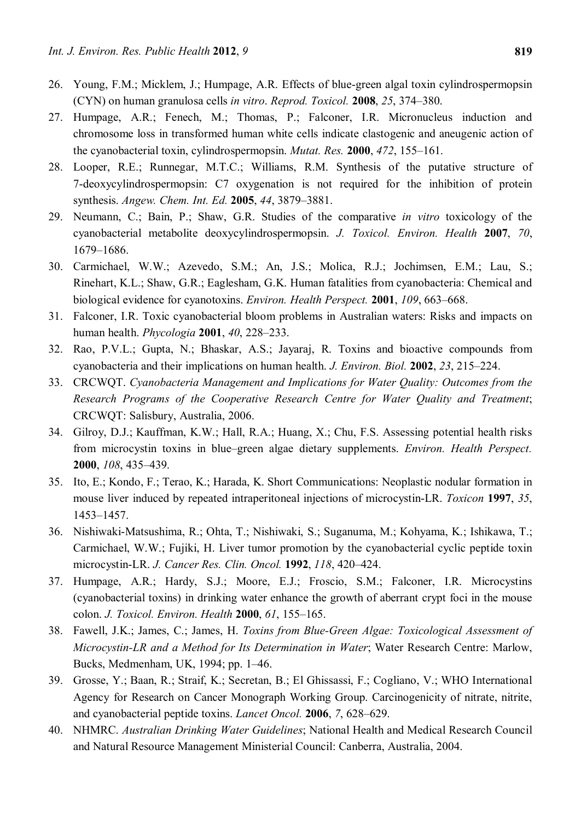- 26. Young, F.M.; Micklem, J.; Humpage, A.R. Effects of blue-green algal toxin cylindrospermopsin (CYN) on human granulosa cells *in vitro*. *Reprod. Toxicol.* **2008**, *25*, 374–380.
- 27. Humpage, A.R.; Fenech, M.; Thomas, P.; Falconer, I.R. Micronucleus induction and chromosome loss in transformed human white cells indicate clastogenic and aneugenic action of the cyanobacterial toxin, cylindrospermopsin. *Mutat. Res.* **2000**, *472*, 155–161.
- 28. Looper, R.E.; Runnegar, M.T.C.; Williams, R.M. Synthesis of the putative structure of 7-deoxycylindrospermopsin: C7 oxygenation is not required for the inhibition of protein synthesis. *Angew. Chem. Int. Ed.* **2005**, *44*, 3879–3881.
- 29. Neumann, C.; Bain, P.; Shaw, G.R. Studies of the comparative *in vitro* toxicology of the cyanobacterial metabolite deoxycylindrospermopsin. *J. Toxicol. Environ. Health* **2007**, *70*, 1679–1686.
- 30. Carmichael, W.W.; Azevedo, S.M.; An, J.S.; Molica, R.J.; Jochimsen, E.M.; Lau, S.; Rinehart, K.L.; Shaw, G.R.; Eaglesham, G.K. Human fatalities from cyanobacteria: Chemical and biological evidence for cyanotoxins. *Environ. Health Perspect.* **2001**, *109*, 663–668.
- 31. Falconer, I.R. Toxic cyanobacterial bloom problems in Australian waters: Risks and impacts on human health. *Phycologia* **2001**, *40*, 228–233.
- 32. Rao, P.V.L.; Gupta, N.; Bhaskar, A.S.; Jayaraj, R. Toxins and bioactive compounds from cyanobacteria and their implications on human health. *J. Environ. Biol.* **2002**, *23*, 215–224.
- 33. CRCWQT. *Cyanobacteria Management and Implications for Water Quality: Outcomes from the Research Programs of the Cooperative Research Centre for Water Quality and Treatment*; CRCWQT: Salisbury, Australia, 2006.
- 34. Gilroy, D.J.; Kauffman, K.W.; Hall, R.A.; Huang, X.; Chu, F.S. Assessing potential health risks from microcystin toxins in blue–green algae dietary supplements. *Environ. Health Perspect.* **2000**, *108*, 435–439.
- 35. Ito, E.; Kondo, F.; Terao, K.; Harada, K. Short Communications: Neoplastic nodular formation in mouse liver induced by repeated intraperitoneal injections of microcystin-LR. *Toxicon* **1997**, *35*, 1453–1457.
- 36. Nishiwaki-Matsushima, R.; Ohta, T.; Nishiwaki, S.; Suganuma, M.; Kohyama, K.; Ishikawa, T.; Carmichael, W.W.; Fujiki, H. Liver tumor promotion by the cyanobacterial cyclic peptide toxin microcystin-LR. *J. Cancer Res. Clin. Oncol.* **1992**, *118*, 420–424.
- 37. Humpage, A.R.; Hardy, S.J.; Moore, E.J.; Froscio, S.M.; Falconer, I.R. Microcystins (cyanobacterial toxins) in drinking water enhance the growth of aberrant crypt foci in the mouse colon. *J. Toxicol. Environ. Health* **2000**, *61*, 155–165.
- 38. Fawell, J.K.; James, C.; James, H. *Toxins from Blue-Green Algae: Toxicological Assessment of Microcystin-LR and a Method for Its Determination in Water*; Water Research Centre: Marlow, Bucks, Medmenham, UK, 1994; pp. 1–46.
- 39. Grosse, Y.; Baan, R.; Straif, K.; Secretan, B.; El Ghissassi, F.; Cogliano, V.; WHO International Agency for Research on Cancer Monograph Working Group. Carcinogenicity of nitrate, nitrite, and cyanobacterial peptide toxins. *Lancet Oncol.* **2006**, *7*, 628–629.
- 40. NHMRC. *Australian Drinking Water Guidelines*; National Health and Medical Research Council and Natural Resource Management Ministerial Council: Canberra, Australia, 2004.